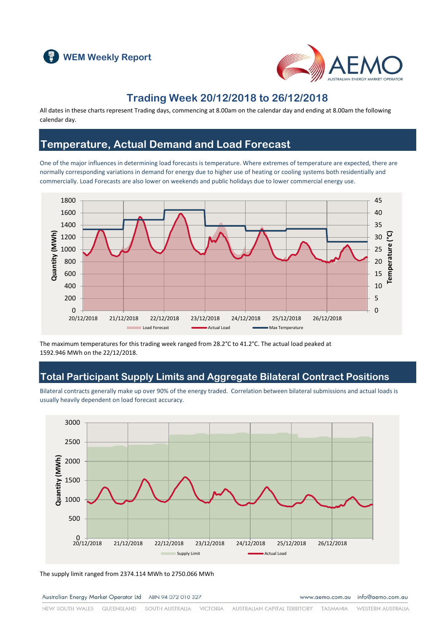



### **Trading Week 20/12/2018 to 26/12/2018**

All dates in these charts represent Trading days, commencing at 8.00am on the calendar day and ending at 8.00am the following calendar day.

### **Temperature, Actual Demand and Load Forecast**

One of the major influences in determining load forecasts is temperature. Where extremes of temperature are expected, there are normally corresponding variations in demand for energy due to higher use of heating or cooling systems both residentially and commercially. Load Forecasts are also lower on weekends and public holidays due to lower commercial energy use.



The maximum temperatures for this trading week ranged from 28.2°C to 41.2°C. The actual load peaked at 1592.946 MWh on the 22/12/2018.

### **Total Participant Supply Limits and Aggregate Bilateral Contract Positions**

Bilateral contracts generally make up over 90% of the energy traded. Correlation between bilateral submissions and actual loads is usually heavily dependent on load forecast accuracy.



The supply limit ranged from 2374.114 MWh to 2750.066 MWh

Australian Energy Market Operator Ltd ABN 94 072 010 327

www.aemo.com.au info@aemo.com.au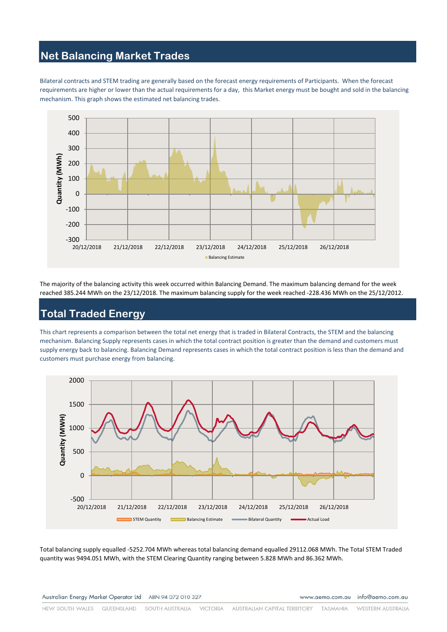# **Net Balancing Market Trades**

Bilateral contracts and STEM trading are generally based on the forecast energy requirements of Participants. When the forecast requirements are higher or lower than the actual requirements for a day, this Market energy must be bought and sold in the balancing mechanism. This graph shows the estimated net balancing trades.



The majority of the balancing activity this week occurred within Balancing Demand. The maximum balancing demand for the week reached 385.244 MWh on the 23/12/2018. The maximum balancing supply for the week reached -228.436 MWh on the 25/12/2012.

# **Total Traded Energy**

This chart represents a comparison between the total net energy that is traded in Bilateral Contracts, the STEM and the balancing mechanism. Balancing Supply represents cases in which the total contract position is greater than the demand and customers must supply energy back to balancing. Balancing Demand represents cases in which the total contract position is less than the demand and customers must purchase energy from balancing.



Total balancing supply equalled -5252.704 MWh whereas total balancing demand equalled 29112.068 MWh. The Total STEM Traded quantity was 9494.051 MWh, with the STEM Clearing Quantity ranging between 5.828 MWh and 86.362 MWh.

www.aemo.com.au info@aemo.com.au